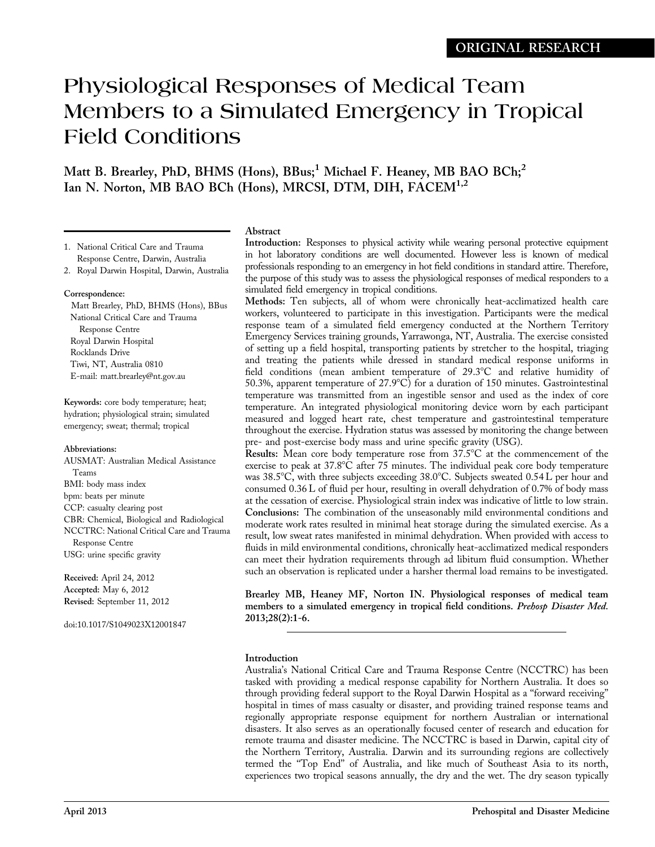# Physiological Responses of Medical Team Members to a Simulated Emergency in Tropical Field Conditions

Matt B. Brearley, PhD, BHMS (Hons), BBus;<sup>1</sup> Michael F. Heaney, MB BAO BCh;<sup>2</sup> Ian N. Norton, MB BAO BCh (Hons), MRCSI, DTM, DIH, FACEM<sup>1,2</sup>

1. National Critical Care and Trauma Response Centre, Darwin, Australia

2. Royal Darwin Hospital, Darwin, Australia

## Correspondence:

Matt Brearley, PhD, BHMS (Hons), BBus National Critical Care and Trauma Response Centre Royal Darwin Hospital Rocklands Drive Tiwi, NT, Australia 0810 E-mail: matt.brearley@nt.gov.au

Keywords: core body temperature; heat; hydration; physiological strain; simulated emergency; sweat; thermal; tropical

## Abbreviations:

AUSMAT: Australian Medical Assistance Teams BMI: body mass index bpm: beats per minute CCP: casualty clearing post CBR: Chemical, Biological and Radiological NCCTRC: National Critical Care and Trauma Response Centre USG: urine specific gravity

Received: April 24, 2012 Accepted: May 6, 2012 Revised: September 11, 2012

doi:10.1017/S1049023X12001847

# Abstract

Introduction: Responses to physical activity while wearing personal protective equipment in hot laboratory conditions are well documented. However less is known of medical professionals responding to an emergency in hot field conditions in standard attire. Therefore, the purpose of this study was to assess the physiological responses of medical responders to a simulated field emergency in tropical conditions.

Methods: Ten subjects, all of whom were chronically heat-acclimatized health care workers, volunteered to participate in this investigation. Participants were the medical response team of a simulated field emergency conducted at the Northern Territory Emergency Services training grounds, Yarrawonga, NT, Australia. The exercise consisted of setting up a field hospital, transporting patients by stretcher to the hospital, triaging and treating the patients while dressed in standard medical response uniforms in field conditions (mean ambient temperature of  $29.3^{\circ}$ C and relative humidity of 50.3%, apparent temperature of 27.9°C) for a duration of 150 minutes. Gastrointestinal temperature was transmitted from an ingestible sensor and used as the index of core temperature. An integrated physiological monitoring device worn by each participant measured and logged heart rate, chest temperature and gastrointestinal temperature throughout the exercise. Hydration status was assessed by monitoring the change between pre- and post-exercise body mass and urine specific gravity (USG).

Results: Mean core body temperature rose from  $37.5^{\circ}$ C at the commencement of the exercise to peak at  $37.8^{\circ}$ C after 75 minutes. The individual peak core body temperature was 38.5°C, with three subjects exceeding 38.0°C. Subjects sweated 0.54 L per hour and consumed 0.36 L of fluid per hour, resulting in overall dehydration of 0.7% of body mass at the cessation of exercise. Physiological strain index was indicative of little to low strain. Conclusions: The combination of the unseasonably mild environmental conditions and moderate work rates resulted in minimal heat storage during the simulated exercise. As a result, low sweat rates manifested in minimal dehydration. When provided with access to fluids in mild environmental conditions, chronically heat-acclimatized medical responders can meet their hydration requirements through ad libitum fluid consumption. Whether such an observation is replicated under a harsher thermal load remains to be investigated.

Brearley MB, Heaney MF, Norton IN. Physiological responses of medical team members to a simulated emergency in tropical field conditions. Prehosp Disaster Med. 2013;28(2):1-6.

# Introduction

Australia's National Critical Care and Trauma Response Centre (NCCTRC) has been tasked with providing a medical response capability for Northern Australia. It does so through providing federal support to the Royal Darwin Hospital as a ''forward receiving'' hospital in times of mass casualty or disaster, and providing trained response teams and regionally appropriate response equipment for northern Australian or international disasters. It also serves as an operationally focused center of research and education for remote trauma and disaster medicine. The NCCTRC is based in Darwin, capital city of the Northern Territory, Australia. Darwin and its surrounding regions are collectively termed the ''Top End'' of Australia, and like much of Southeast Asia to its north, experiences two tropical seasons annually, the dry and the wet. The dry season typically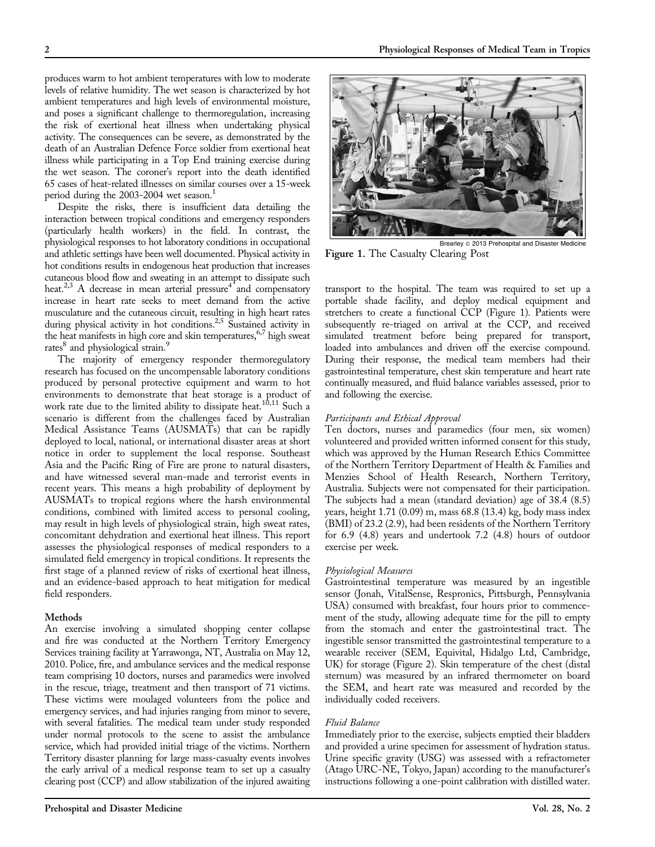produces warm to hot ambient temperatures with low to moderate levels of relative humidity. The wet season is characterized by hot ambient temperatures and high levels of environmental moisture, and poses a significant challenge to thermoregulation, increasing the risk of exertional heat illness when undertaking physical activity. The consequences can be severe, as demonstrated by the death of an Australian Defence Force soldier from exertional heat illness while participating in a Top End training exercise during the wet season. The coroner's report into the death identified 65 cases of heat-related illnesses on similar courses over a 15-week period during the 2003-2004 wet season.<sup>1</sup>

Despite the risks, there is insufficient data detailing the interaction between tropical conditions and emergency responders (particularly health workers) in the field. In contrast, the physiological responses to hot laboratory conditions in occupational and athletic settings have been well documented. Physical activity in hot conditions results in endogenous heat production that increases cutaneous blood flow and sweating in an attempt to dissipate such heat.<sup>[2,3](#page-5-0)</sup> A decrease in mean arterial pressure<sup>4</sup> and compensatory increase in heart rate seeks to meet demand from the active musculature and the cutaneous circuit, resulting in high heart rates during physical activity in hot conditions.<sup>2,[5](#page-5-0)</sup> Sustained activity in the heat manifests in high core and skin temperatures,<sup>[6](#page-5-0),[7](#page-5-0)</sup> high sweat rates<sup>[8](#page-5-0)</sup> and physiological strain.<sup>9</sup>

The majority of emergency responder thermoregulatory research has focused on the uncompensable laboratory conditions produced by personal protective equipment and warm to hot environments to demonstrate that heat storage is a product of work rate due to the limited ability to dissipate heat.<sup>[10,11](#page-5-0)</sup> Such a scenario is different from the challenges faced by Australian Medical Assistance Teams (AUSMATs) that can be rapidly deployed to local, national, or international disaster areas at short notice in order to supplement the local response. Southeast Asia and the Pacific Ring of Fire are prone to natural disasters, and have witnessed several man-made and terrorist events in recent years. This means a high probability of deployment by AUSMATs to tropical regions where the harsh environmental conditions, combined with limited access to personal cooling, may result in high levels of physiological strain, high sweat rates, concomitant dehydration and exertional heat illness. This report assesses the physiological responses of medical responders to a simulated field emergency in tropical conditions. It represents the first stage of a planned review of risks of exertional heat illness, and an evidence-based approach to heat mitigation for medical field responders.

## Methods

An exercise involving a simulated shopping center collapse and fire was conducted at the Northern Territory Emergency Services training facility at Yarrawonga, NT, Australia on May 12, 2010. Police, fire, and ambulance services and the medical response team comprising 10 doctors, nurses and paramedics were involved in the rescue, triage, treatment and then transport of 71 victims. These victims were moulaged volunteers from the police and emergency services, and had injuries ranging from minor to severe, with several fatalities. The medical team under study responded under normal protocols to the scene to assist the ambulance service, which had provided initial triage of the victims. Northern Territory disaster planning for large mass-casualty events involves the early arrival of a medical response team to set up a casualty clearing post (CCP) and allow stabilization of the injured awaiting



Figure 1. The Casualty Clearing Post

transport to the hospital. The team was required to set up a portable shade facility, and deploy medical equipment and stretchers to create a functional CCP (Figure 1). Patients were subsequently re-triaged on arrival at the CCP, and received simulated treatment before being prepared for transport, loaded into ambulances and driven off the exercise compound. During their response, the medical team members had their gastrointestinal temperature, chest skin temperature and heart rate continually measured, and fluid balance variables assessed, prior to and following the exercise.

## Participants and Ethical Approval

Ten doctors, nurses and paramedics (four men, six women) volunteered and provided written informed consent for this study, which was approved by the Human Research Ethics Committee of the Northern Territory Department of Health & Families and Menzies School of Health Research, Northern Territory, Australia. Subjects were not compensated for their participation. The subjects had a mean (standard deviation) age of 38.4 (8.5) years, height 1.71 (0.09) m, mass 68.8 (13.4) kg, body mass index (BMI) of 23.2 (2.9), had been residents of the Northern Territory for 6.9 (4.8) years and undertook 7.2 (4.8) hours of outdoor exercise per week.

## Physiological Measures

Gastrointestinal temperature was measured by an ingestible sensor (Jonah, VitalSense, Respronics, Pittsburgh, Pennsylvania USA) consumed with breakfast, four hours prior to commencement of the study, allowing adequate time for the pill to empty from the stomach and enter the gastrointestinal tract. The ingestible sensor transmitted the gastrointestinal temperature to a wearable receiver (SEM, Equivital, Hidalgo Ltd, Cambridge, UK) for storage [\(Figure 2](#page-2-0)). Skin temperature of the chest (distal sternum) was measured by an infrared thermometer on board the SEM, and heart rate was measured and recorded by the individually coded receivers.

## Fluid Balance

Immediately prior to the exercise, subjects emptied their bladders and provided a urine specimen for assessment of hydration status. Urine specific gravity (USG) was assessed with a refractometer (Atago URC-NE, Tokyo, Japan) according to the manufacturer's instructions following a one-point calibration with distilled water.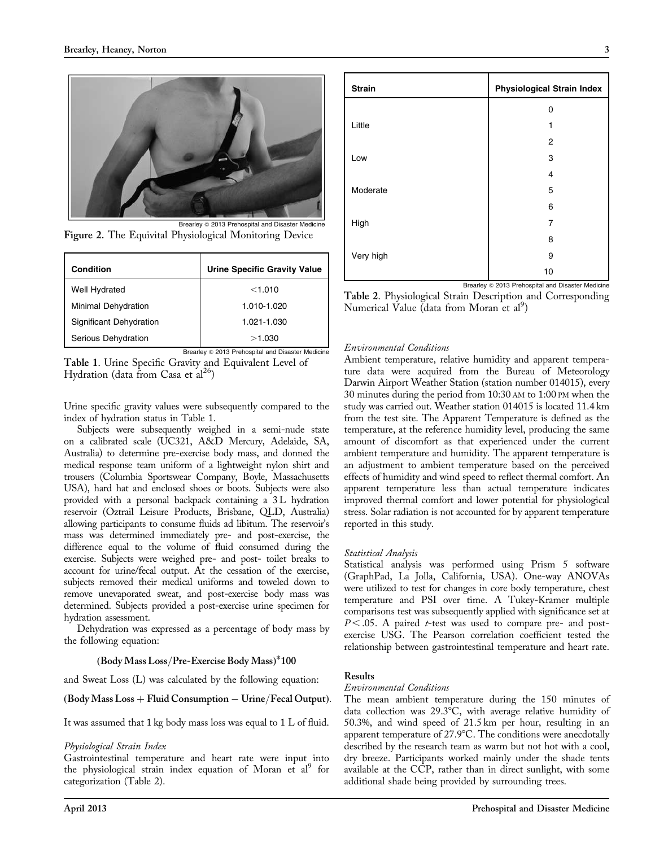<span id="page-2-0"></span>

Brearley @ 2013 Prehospital and Disaster Medicine Figure 2. The Equivital Physiological Monitoring Device

| Condition                                         | <b>Urine Specific Gravity Value</b> |  |
|---------------------------------------------------|-------------------------------------|--|
| Well Hydrated                                     | $<$ 1.010                           |  |
| Minimal Dehydration                               | 1.010-1.020                         |  |
| Significant Dehydration                           | 1.021-1.030                         |  |
| Serious Dehydration                               | >1.030                              |  |
| Brearley © 2013 Prehospital and Disaster Medicine |                                     |  |

Table 1. Urine Specific Gravity and Equivalent Level of Hydration (data from Casa et  $al^{26}$  $al^{26}$  $al^{26}$ )

Urine specific gravity values were subsequently compared to the index of hydration status in Table 1.

Subjects were subsequently weighed in a semi-nude state on a calibrated scale (UC321, A&D Mercury, Adelaide, SA, Australia) to determine pre-exercise body mass, and donned the medical response team uniform of a lightweight nylon shirt and trousers (Columbia Sportswear Company, Boyle, Massachusetts USA), hard hat and enclosed shoes or boots. Subjects were also provided with a personal backpack containing a 3 L hydration reservoir (Oztrail Leisure Products, Brisbane, QLD, Australia) allowing participants to consume fluids ad libitum. The reservoir's mass was determined immediately pre- and post-exercise, the difference equal to the volume of fluid consumed during the exercise. Subjects were weighed pre- and post- toilet breaks to account for urine/fecal output. At the cessation of the exercise, subjects removed their medical uniforms and toweled down to remove unevaporated sweat, and post-exercise body mass was determined. Subjects provided a post-exercise urine specimen for hydration assessment.

Dehydration was expressed as a percentage of body mass by the following equation:

# (Body Mass Loss/Pre-Exercise Body Mass)\*100

and Sweat Loss (L) was calculated by the following equation:

# $\Phi(\text{Body Mass Loss} + \text{Fluid Consumption} - \text{Urine/Fecal Output}).$

It was assumed that 1 kg body mass loss was equal to 1 L of fluid.

## Physiological Strain Index

Gastrointestinal temperature and heart rate were input into the physiological strain index equation of Moran et al<sup>[9](#page-5-0)</sup> for categorization (Table 2).

| <b>Strain</b> | <b>Physiological Strain Index</b> |
|---------------|-----------------------------------|
|               | 0                                 |
| Little        | 1                                 |
|               | 2                                 |
| Low           | 3                                 |
|               | 4                                 |
| Moderate      | 5                                 |
|               | 6                                 |
| High          | 7                                 |
|               | 8                                 |
| Very high     | 9                                 |
|               | 10                                |

Brearley © 2013 Prehospital and Disaster Medicine Table 2. Physiological Strain Description and Corresponding Numerical Value (data from Moran et al<sup>[9](#page-5-0)</sup>)

## Environmental Conditions

Ambient temperature, relative humidity and apparent temperature data were acquired from the Bureau of Meteorology Darwin Airport Weather Station (station number 014015), every 30 minutes during the period from 10:30 AM to 1:00 PM when the study was carried out. Weather station 014015 is located 11.4 km from the test site. The Apparent Temperature is defined as the temperature, at the reference humidity level, producing the same amount of discomfort as that experienced under the current ambient temperature and humidity. The apparent temperature is an adjustment to ambient temperature based on the perceived effects of humidity and wind speed to reflect thermal comfort. An apparent temperature less than actual temperature indicates improved thermal comfort and lower potential for physiological stress. Solar radiation is not accounted for by apparent temperature reported in this study.

## Statistical Analysis

Statistical analysis was performed using Prism 5 software (GraphPad, La Jolla, California, USA). One-way ANOVAs were utilized to test for changes in core body temperature, chest temperature and PSI over time. A Tukey-Kramer multiple comparisons test was subsequently applied with significance set at  $P < .05$ . A paired *t*-test was used to compare pre- and postexercise USG. The Pearson correlation coefficient tested the relationship between gastrointestinal temperature and heart rate.

## Results

## Environmental Conditions

The mean ambient temperature during the 150 minutes of data collection was  $29.3^{\circ}$ C, with average relative humidity of 50.3%, and wind speed of 21.5 km per hour, resulting in an apparent temperature of  $27.9^{\circ}$ C. The conditions were anecdotally described by the research team as warm but not hot with a cool, dry breeze. Participants worked mainly under the shade tents available at the CCP, rather than in direct sunlight, with some additional shade being provided by surrounding trees.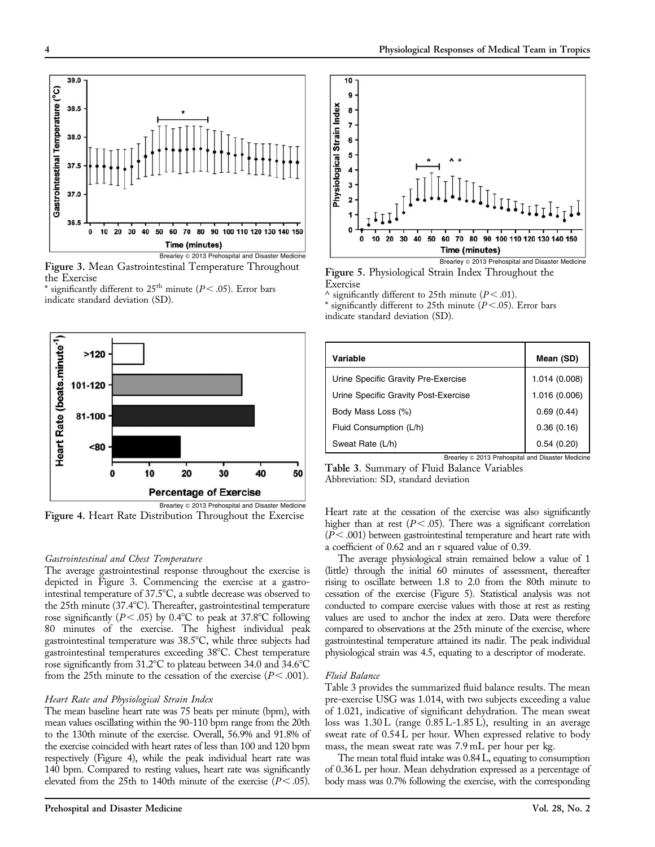

Figure 3. Mean Gastrointestinal Temperature Throughout the Exercise





Figure 4. Heart Rate Distribution Throughout the Exercise

## Gastrointestinal and Chest Temperature

The average gastrointestinal response throughout the exercise is depicted in Figure 3. Commencing the exercise at a gastrointestinal temperature of  $37.5^{\circ}$ C, a subtle decrease was observed to the 25th minute (37.4 $^{\circ}$ C). Thereafter, gastrointestinal temperature rose significantly ( $P < .05$ ) by 0.4°C to peak at 37.8°C following 80 minutes of the exercise. The highest individual peak gastrointestinal temperature was  $38.5^{\circ}$ C, while three subjects had gastrointestinal temperatures exceeding 38°C. Chest temperature rose significantly from 31.2°C to plateau between 34.0 and 34.6°C from the 25th minute to the cessation of the exercise  $(P < .001)$ .

#### Heart Rate and Physiological Strain Index

The mean baseline heart rate was 75 beats per minute (bpm), with mean values oscillating within the 90-110 bpm range from the 20th to the 130th minute of the exercise. Overall, 56.9% and 91.8% of the exercise coincided with heart rates of less than 100 and 120 bpm respectively (Figure 4), while the peak individual heart rate was 140 bpm. Compared to resting values, heart rate was significantly elevated from the 25th to 140th minute of the exercise  $(P < .05)$ .



Figure 5. Physiological Strain Index Throughout the Exercise

 $\land$  significantly different to 25th minute ( $P < .01$ ). \* significantly different to 25th minute ( $P < .05$ ). Error bars indicate standard deviation (SD).

| Variable                                          | Mean (SD)     |  |
|---------------------------------------------------|---------------|--|
| Urine Specific Gravity Pre-Exercise               | 1.014(0.008)  |  |
| Urine Specific Gravity Post-Exercise              | 1.016 (0.006) |  |
| Body Mass Loss (%)                                | 0.69(0.44)    |  |
| Fluid Consumption (L/h)                           | 0.36(0.16)    |  |
| Sweat Rate (L/h)                                  | 0.54(0.20)    |  |
| Brearley © 2013 Prehospital and Disaster Medicine |               |  |

Table 3. Summary of Fluid Balance Variables Abbreviation: SD, standard deviation

Heart rate at the cessation of the exercise was also significantly higher than at rest ( $P < .05$ ). There was a significant correlation  $(P< .001)$  between gastrointestinal temperature and heart rate with a coefficient of 0.62 and an r squared value of 0.39.

The average physiological strain remained below a value of 1 (little) through the initial 60 minutes of assessment, thereafter rising to oscillate between 1.8 to 2.0 from the 80th minute to cessation of the exercise (Figure 5). Statistical analysis was not conducted to compare exercise values with those at rest as resting values are used to anchor the index at zero. Data were therefore compared to observations at the 25th minute of the exercise, where gastrointestinal temperature attained its nadir. The peak individual physiological strain was 4.5, equating to a descriptor of moderate.

#### Fluid Balance

Table 3 provides the summarized fluid balance results. The mean pre-exercise USG was 1.014, with two subjects exceeding a value of 1.021, indicative of significant dehydration. The mean sweat loss was 1.30 L (range 0.85 L-1.85 L), resulting in an average sweat rate of 0.54 L per hour. When expressed relative to body mass, the mean sweat rate was 7.9 mL per hour per kg.

The mean total fluid intake was 0.84 L, equating to consumption of 0.36 L per hour. Mean dehydration expressed as a percentage of body mass was 0.7% following the exercise, with the corresponding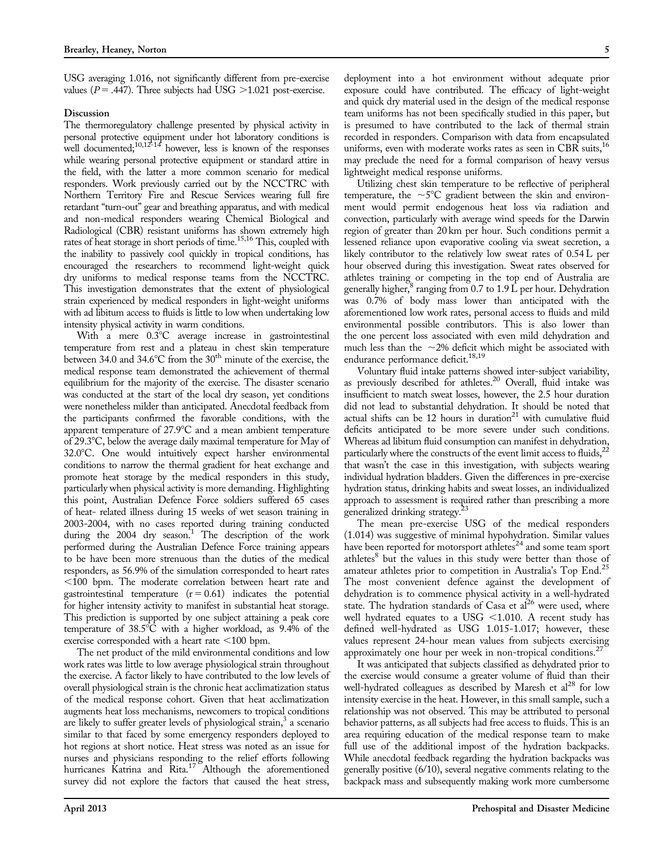USG averaging 1.016, not significantly different from pre-exercise values ( $P = .447$ ). Three subjects had USG  $>1.021$  post-exercise.

## **Discussion**

The thermoregulatory challenge presented by physical activity in personal protective equipment under hot laboratory conditions is well documented; $10,12^{t-14}$  however, less is known of the responses while wearing personal protective equipment or standard attire in the field, with the latter a more common scenario for medical responders. Work previously carried out by the NCCTRC with Northern Territory Fire and Rescue Services wearing full fire retardant ''turn-out'' gear and breathing apparatus, and with medical and non-medical responders wearing Chemical Biological and Radiological (CBR) resistant uniforms has shown extremely high rates of heat storage in short periods of time.<sup>15,16</sup> This, coupled with the inability to passively cool quickly in tropical conditions, has encouraged the researchers to recommend light-weight quick dry uniforms to medical response teams from the NCCTRC. This investigation demonstrates that the extent of physiological strain experienced by medical responders in light-weight uniforms with ad libitum access to fluids is little to low when undertaking low intensity physical activity in warm conditions.

With a mere  $0.3^{\circ}$ C average increase in gastrointestinal temperature from rest and a plateau in chest skin temperature between 34.0 and 34.6°C from the 30<sup>th</sup> minute of the exercise, the medical response team demonstrated the achievement of thermal equilibrium for the majority of the exercise. The disaster scenario was conducted at the start of the local dry season, yet conditions were nonetheless milder than anticipated. Anecdotal feedback from the participants confirmed the favorable conditions, with the apparent temperature of  $27.9^{\circ}$ C and a mean ambient temperature of  $29.3^{\circ}$ C, below the average daily maximal temperature for May of 32.08C. One would intuitively expect harsher environmental conditions to narrow the thermal gradient for heat exchange and promote heat storage by the medical responders in this study, particularly when physical activity is more demanding. Highlighting this point, Australian Defence Force soldiers suffered 65 cases of heat- related illness during 15 weeks of wet season training in 2003-2004, with no cases reported during training conducted during the  $2004$  dry season.<sup>1</sup> The description of the work performed during the Australian Defence Force training appears to be have been more strenuous than the duties of the medical responders, as 56.9% of the simulation corresponded to heart rates ,100 bpm. The moderate correlation between heart rate and gastrointestinal temperature  $(r = 0.61)$  indicates the potential for higher intensity activity to manifest in substantial heat storage. This prediction is supported by one subject attaining a peak core temperature of  $38.5^{\circ}$ C with a higher workload, as  $9.4\%$  of the exercise corresponded with a heart rate  $<$ 100 bpm.

The net product of the mild environmental conditions and low work rates was little to low average physiological strain throughout the exercise. A factor likely to have contributed to the low levels of overall physiological strain is the chronic heat acclimatization status of the medical response cohort. Given that heat acclimatization augments heat loss mechanisms, newcomers to tropical conditions are likely to suffer greater levels of physiological strain, $3$  a scenario similar to that faced by some emergency responders deployed to hot regions at short notice. Heat stress was noted as an issue for nurses and physicians responding to the relief efforts following hurricanes Katrina and Rita.<sup>17</sup> Although the aforementioned survey did not explore the factors that caused the heat stress,

deployment into a hot environment without adequate prior exposure could have contributed. The efficacy of light-weight and quick dry material used in the design of the medical response team uniforms has not been specifically studied in this paper, but is presumed to have contributed to the lack of thermal strain recorded in responders. Comparison with data from encapsulated uniforms, even with moderate works rates as seen in CBR suits,<sup>[16](#page-5-0)</sup> may preclude the need for a formal comparison of heavy versus lightweight medical response uniforms.

Utilizing chest skin temperature to be reflective of peripheral temperature, the  $\sim$ 5°C gradient between the skin and environment would permit endogenous heat loss via radiation and convection, particularly with average wind speeds for the Darwin region of greater than 20 km per hour. Such conditions permit a lessened reliance upon evaporative cooling via sweat secretion, a likely contributor to the relatively low sweat rates of  $0.54 L$  per hour observed during this investigation. Sweat rates observed for athletes training or competing in the top end of Australia are generally higher, $^8$  ranging from 0.7 to 1.9 L per hour. Dehydration was 0.7% of body mass lower than anticipated with the aforementioned low work rates, personal access to fluids and mild environmental possible contributors. This is also lower than the one percent loss associated with even mild dehydration and much less than the  $\sim$ 2% deficit which might be associated with endurance performance deficit.<sup>18,19</sup>

Voluntary fluid intake patterns showed inter-subject variability, as previously described for athletes.<sup>[20](#page-5-0)</sup> Overall, fluid intake was insufficient to match sweat losses, however, the 2.5 hour duration did not lead to substantial dehydration. It should be noted that actual shifts can be 12 hours in duration $^{21}$  with cumulative fluid deficits anticipated to be more severe under such conditions. Whereas ad libitum fluid consumption can manifest in dehydration, particularly where the constructs of the event limit access to fluids,  $^{22}$  $^{22}$  $^{22}$ that wasn't the case in this investigation, with subjects wearing individual hydration bladders. Given the differences in pre-exercise hydration status, drinking habits and sweat losses, an individualized approach to assessment is required rather than prescribing a more generalized drinking strategy[.23](#page-5-0)

The mean pre-exercise USG of the medical responders (1.014) was suggestive of minimal hypohydration. Similar values have been reported for motorsport athletes<sup>[24](#page-5-0)</sup> and some team sport athletes<sup>[8](#page-5-0)</sup> but the values in this study were better than those of amateur athletes prior to competition in Australia's Top End.<sup>[25](#page-5-0)</sup> The most convenient defence against the development of dehydration is to commence physical activity in a well-hydrated state. The hydration standards of Casa et al<sup>[26](#page-5-0)</sup> were used, where well hydrated equates to a USG  $<$  1.010. A recent study has defined well-hydrated as USG 1.015-1.017; however, these values represent 24-hour mean values from subjects exercising approximately one hour per week in non-tropical conditions.<sup>[27](#page-5-0)</sup>

It was anticipated that subjects classified as dehydrated prior to the exercise would consume a greater volume of fluid than their well-hydrated colleagues as described by Maresh et al<sup>28</sup> for low intensity exercise in the heat. However, in this small sample, such a relationship was not observed. This may be attributed to personal behavior patterns, as all subjects had free access to fluids. This is an area requiring education of the medical response team to make full use of the additional impost of the hydration backpacks. While anecdotal feedback regarding the hydration backpacks was generally positive (6/10), several negative comments relating to the backpack mass and subsequently making work more cumbersome